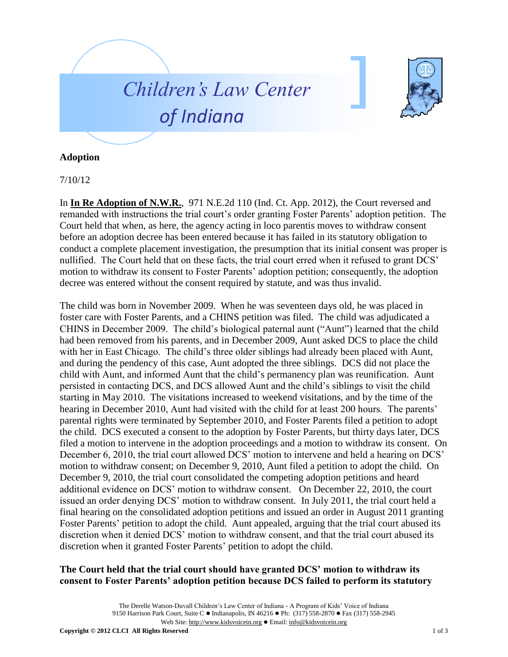



## **Adoption**

7/10/12

In **In Re Adoption of N.W.R.**, 971 N.E.2d 110 (Ind. Ct. App. 2012), the Court reversed and remanded with instructions the trial court's order granting Foster Parents' adoption petition. The Court held that when, as here, the agency acting in loco parentis moves to withdraw consent before an adoption decree has been entered because it has failed in its statutory obligation to conduct a complete placement investigation, the presumption that its initial consent was proper is nullified. The Court held that on these facts, the trial court erred when it refused to grant DCS' motion to withdraw its consent to Foster Parents' adoption petition; consequently, the adoption decree was entered without the consent required by statute, and was thus invalid.

The child was born in November 2009. When he was seventeen days old, he was placed in foster care with Foster Parents, and a CHINS petition was filed. The child was adjudicated a CHINS in December 2009. The child's biological paternal aunt ("Aunt") learned that the child had been removed from his parents, and in December 2009, Aunt asked DCS to place the child with her in East Chicago. The child's three older siblings had already been placed with Aunt, and during the pendency of this case, Aunt adopted the three siblings. DCS did not place the child with Aunt, and informed Aunt that the child's permanency plan was reunification. Aunt persisted in contacting DCS, and DCS allowed Aunt and the child's siblings to visit the child starting in May 2010. The visitations increased to weekend visitations, and by the time of the hearing in December 2010, Aunt had visited with the child for at least 200 hours. The parents' parental rights were terminated by September 2010, and Foster Parents filed a petition to adopt the child. DCS executed a consent to the adoption by Foster Parents, but thirty days later, DCS filed a motion to intervene in the adoption proceedings and a motion to withdraw its consent. On December 6, 2010, the trial court allowed DCS' motion to intervene and held a hearing on DCS' motion to withdraw consent; on December 9, 2010, Aunt filed a petition to adopt the child. On December 9, 2010, the trial court consolidated the competing adoption petitions and heard additional evidence on DCS' motion to withdraw consent. On December 22, 2010, the court issued an order denying DCS' motion to withdraw consent. In July 2011, the trial court held a final hearing on the consolidated adoption petitions and issued an order in August 2011 granting Foster Parents' petition to adopt the child. Aunt appealed, arguing that the trial court abused its discretion when it denied DCS' motion to withdraw consent, and that the trial court abused its discretion when it granted Foster Parents' petition to adopt the child.

## **The Court held that the trial court should have granted DCS' motion to withdraw its consent to Foster Parents' adoption petition because DCS failed to perform its statutory**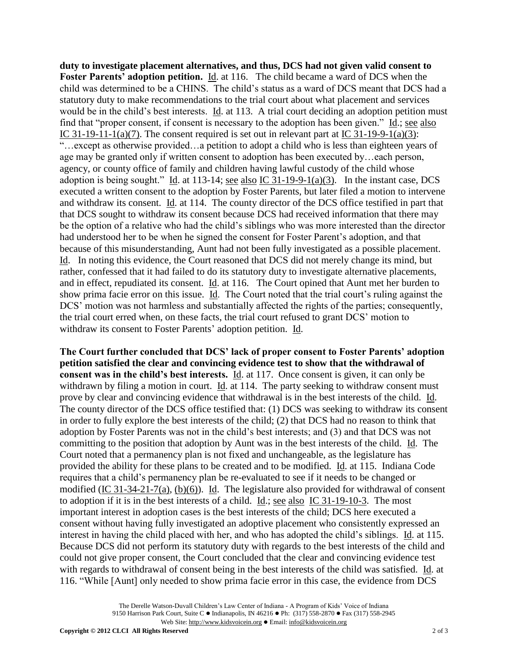**duty to investigate placement alternatives, and thus, DCS had not given valid consent to Foster Parents' adoption petition.** Id. at 116. The child became a ward of DCS when the child was determined to be a CHINS. The child's status as a ward of DCS meant that DCS had a statutory duty to make recommendations to the trial court about what placement and services would be in the child's best interests. Id. at 113. A trial court deciding an adoption petition must find that "proper consent, if consent is necessary to the adoption has been given." Id.; see also IC 31-19-11-1(a)(7). The consent required is set out in relevant part at IC 31-19-9-1(a)(3): "…except as otherwise provided…a petition to adopt a child who is less than eighteen years of age may be granted only if written consent to adoption has been executed by…each person, agency, or county office of family and children having lawful custody of the child whose adoption is being sought." Id. at 113-14; see also IC 31-19-9-1(a)(3). In the instant case, DCS executed a written consent to the adoption by Foster Parents, but later filed a motion to intervene and withdraw its consent. Id. at 114. The county director of the DCS office testified in part that that DCS sought to withdraw its consent because DCS had received information that there may be the option of a relative who had the child's siblings who was more interested than the director had understood her to be when he signed the consent for Foster Parent's adoption, and that because of this misunderstanding, Aunt had not been fully investigated as a possible placement. Id. In noting this evidence, the Court reasoned that DCS did not merely change its mind, but rather, confessed that it had failed to do its statutory duty to investigate alternative placements, and in effect, repudiated its consent. Id. at 116. The Court opined that Aunt met her burden to show prima facie error on this issue. Id. The Court noted that the trial court's ruling against the DCS' motion was not harmless and substantially affected the rights of the parties; consequently, the trial court erred when, on these facts, the trial court refused to grant DCS' motion to withdraw its consent to Foster Parents' adoption petition. Id.

**The Court further concluded that DCS' lack of proper consent to Foster Parents' adoption petition satisfied the clear and convincing evidence test to show that the withdrawal of consent was in the child's best interests.** Id. at 117. Once consent is given, it can only be withdrawn by filing a motion in court. Id. at 114. The party seeking to withdraw consent must prove by clear and convincing evidence that withdrawal is in the best interests of the child. Id. The county director of the DCS office testified that: (1) DCS was seeking to withdraw its consent in order to fully explore the best interests of the child; (2) that DCS had no reason to think that adoption by Foster Parents was not in the child's best interests; and (3) and that DCS was not committing to the position that adoption by Aunt was in the best interests of the child. Id. The Court noted that a permanency plan is not fixed and unchangeable, as the legislature has provided the ability for these plans to be created and to be modified. Id. at 115. Indiana Code requires that a child's permanency plan be re-evaluated to see if it needs to be changed or modified (IC 31-34-21-7(a), (b)(6)). Id. The legislature also provided for withdrawal of consent to adoption if it is in the best interests of a child. Id.; see also IC 31-19-10-3. The most important interest in adoption cases is the best interests of the child; DCS here executed a consent without having fully investigated an adoptive placement who consistently expressed an interest in having the child placed with her, and who has adopted the child's siblings. Id. at 115. Because DCS did not perform its statutory duty with regards to the best interests of the child and could not give proper consent, the Court concluded that the clear and convincing evidence test with regards to withdrawal of consent being in the best interests of the child was satisfied. Id. at 116. "While [Aunt] only needed to show prima facie error in this case, the evidence from DCS